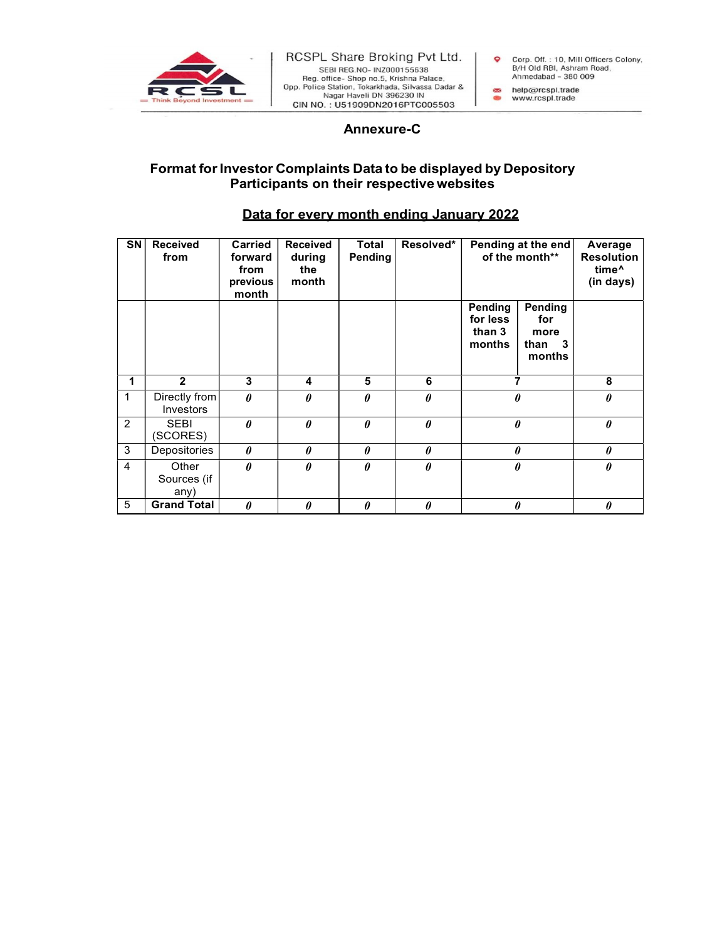

## a non- Tokar Maria Pate 1971<br>
A non- Tokar Maria Pate 2014<br>
Shop no.5, Krishna Pate 2014<br>
Shop non, Tokar Mada, Silvassa Dadar &<br>
Ahmedabad - 380 009<br>
Haveli DN 396230 IN<br>
Annexure-C<br>
S Data to be displayed by Depository<br> Format for Investor Complaints Data to be displayed by Depository Participants on their respective websites

## Data for every month ending January 2022

| $\overline{\mathsf{SN}}$ | <b>Received</b><br>from      | <b>Carried</b><br>forward<br>from<br>previous<br>month | <b>Received</b><br>during<br>the<br>month | Total<br>Pending      | Resolved*             | Pending at the end<br>of the month**                                                  | Average<br><b>Resolution</b><br>time <sup>^</sup><br>(in days) |
|--------------------------|------------------------------|--------------------------------------------------------|-------------------------------------------|-----------------------|-----------------------|---------------------------------------------------------------------------------------|----------------------------------------------------------------|
|                          |                              |                                                        |                                           |                       |                       | Pending<br>Pending<br>for less<br>for<br>than 3<br>more<br>months<br>than 3<br>months |                                                                |
|                          | $\overline{2}$               | 3                                                      | 4                                         | 5                     | 6                     | ⇁                                                                                     | 8                                                              |
| $\mathbf{1}$             | Directly from<br>Investors   | $\boldsymbol{\theta}$                                  | $\pmb{\theta}$                            | $\boldsymbol{\theta}$ | $\boldsymbol{\theta}$ | 0                                                                                     | $\boldsymbol{\theta}$                                          |
| 2                        | <b>SEBI</b><br>(SCORES)      | $\theta$                                               | $\theta$                                  | $\theta$              | $\boldsymbol{\theta}$ | $\theta$                                                                              | $\boldsymbol{\theta}$                                          |
| 3                        | Depositories                 | $\boldsymbol{\theta}$                                  | 0                                         | $\boldsymbol{\theta}$ | $\boldsymbol{\theta}$ | 0                                                                                     | $\boldsymbol{\theta}$                                          |
| 4                        | Other<br>Sources (if<br>any) | $\theta$                                               | $\theta$                                  | 0                     | $\pmb{\theta}$        | $\boldsymbol{\theta}$                                                                 | $\boldsymbol{\theta}$                                          |
| 5                        | <b>Grand Total</b>           | $\theta$                                               | 0                                         | 0                     | $\boldsymbol{\theta}$ | 0                                                                                     | $\boldsymbol{\theta}$                                          |